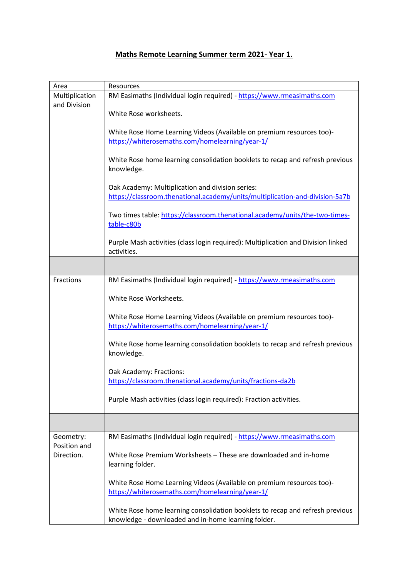## **Maths Remote Learning Summer term 2021- Year 1.**

| Area           | Resources                                                                                        |
|----------------|--------------------------------------------------------------------------------------------------|
| Multiplication | RM Easimaths (Individual login required) - https://www.rmeasimaths.com                           |
| and Division   |                                                                                                  |
|                | White Rose worksheets.                                                                           |
|                | White Rose Home Learning Videos (Available on premium resources too)-                            |
|                | https://whiterosemaths.com/homelearning/year-1/                                                  |
|                |                                                                                                  |
|                | White Rose home learning consolidation booklets to recap and refresh previous<br>knowledge.      |
|                | Oak Academy: Multiplication and division series:                                                 |
|                | https://classroom.thenational.academy/units/multiplication-and-division-5a7b                     |
|                |                                                                                                  |
|                | Two times table: https://classroom.thenational.academy/units/the-two-times-<br>table-c80b        |
|                | Purple Mash activities (class login required): Multiplication and Division linked<br>activities. |
|                |                                                                                                  |
| Fractions      | RM Easimaths (Individual login required) - https://www.rmeasimaths.com                           |
|                |                                                                                                  |
|                | White Rose Worksheets.                                                                           |
|                |                                                                                                  |
|                | White Rose Home Learning Videos (Available on premium resources too)-                            |
|                | https://whiterosemaths.com/homelearning/year-1/                                                  |
|                | White Rose home learning consolidation booklets to recap and refresh previous<br>knowledge.      |
|                |                                                                                                  |
|                | Oak Academy: Fractions:                                                                          |
|                | https://classroom.thenational.academy/units/fractions-da2b                                       |
|                | Purple Mash activities (class login required): Fraction activities.                              |
|                |                                                                                                  |
| Geometry:      | RM Easimaths (Individual login required) - https://www.rmeasimaths.com                           |
| Position and   |                                                                                                  |
| Direction.     | White Rose Premium Worksheets - These are downloaded and in-home<br>learning folder.             |
|                | White Rose Home Learning Videos (Available on premium resources too)-                            |
|                | https://whiterosemaths.com/homelearning/year-1/                                                  |
|                |                                                                                                  |
|                | White Rose home learning consolidation booklets to recap and refresh previous                    |
|                | knowledge - downloaded and in-home learning folder.                                              |